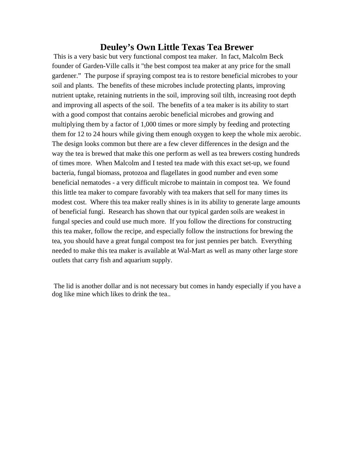#### **Deuley's Own Little Texas Tea Brewer**

This is a very basic but very functional compost tea maker. In fact, Malcolm Beck founder of Garden-Ville calls it "the best compost tea maker at any price for the small gardener." The purpose if spraying compost tea is to restore beneficial microbes to your soil and plants. The benefits of these microbes include protecting plants, improving nutrient uptake, retaining nutrients in the soil, improving soil tilth, increasing root depth and improving all aspects of the soil. The benefits of a tea maker is its ability to start with a good compost that contains aerobic beneficial microbes and growing and multiplying them by a factor of 1,000 times or more simply by feeding and protecting them for 12 to 24 hours while giving them enough oxygen to keep the whole mix aerobic. The design looks common but there are a few clever differences in the design and the way the tea is brewed that make this one perform as well as tea brewers costing hundreds of times more. When Malcolm and I tested tea made with this exact set-up, we found bacteria, fungal biomass, protozoa and flagellates in good number and even some beneficial nematodes - a very difficult microbe to maintain in compost tea. We found this little tea maker to compare favorably with tea makers that sell for many times its modest cost. Where this tea maker really shines is in its ability to generate large amounts of beneficial fungi. Research has shown that our typical garden soils are weakest in fungal species and could use much more. If you follow the directions for constructing this tea maker, follow the recipe, and especially follow the instructions for brewing the tea, you should have a great fungal compost tea for just pennies per batch. Everything needed to make this tea maker is available at Wal-Mart as well as many other large store outlets that carry fish and aquarium supply.

 The lid is another dollar and is not necessary but comes in handy especially if you have a dog like mine which likes to drink the tea..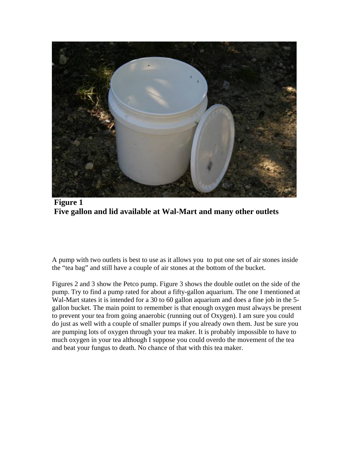

 **Figure 1 Five gallon and lid available at Wal-Mart and many other outlets** 

A pump with two outlets is best to use as it allows you to put one set of air stones inside the "tea bag" and still have a couple of air stones at the bottom of the bucket.

Figures 2 and 3 show the Petco pump. Figure 3 shows the double outlet on the side of the pump. Try to find a pump rated for about a fifty-gallon aquarium. The one I mentioned at Wal-Mart states it is intended for a 30 to 60 gallon aquarium and does a fine job in the 5 gallon bucket. The main point to remember is that enough oxygen must always be present to prevent your tea from going anaerobic (running out of Oxygen). I am sure you could do just as well with a couple of smaller pumps if you already own them. Just be sure you are pumping lots of oxygen through your tea maker. It is probably impossible to have to much oxygen in your tea although I suppose you could overdo the movement of the tea and beat your fungus to death. No chance of that with this tea maker.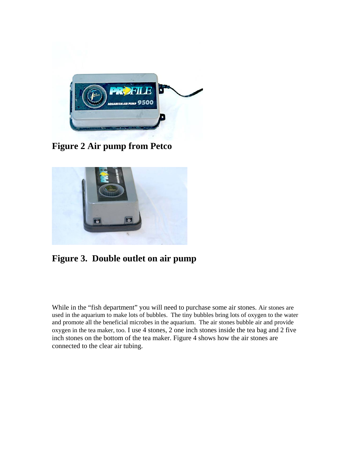

**Figure 2 Air pump from Petco** 



# **Figure 3. Double outlet on air pump**

While in the "fish department" you will need to purchase some air stones. Air stones are used in the aquarium to make lots of bubbles. The tiny bubbles bring lots of oxygen to the water and promote all the beneficial microbes in the aquarium. The air stones bubble air and provide oxygen in the tea maker, too. I use 4 stones, 2 one inch stones inside the tea bag and 2 five inch stones on the bottom of the tea maker. Figure 4 shows how the air stones are connected to the clear air tubing.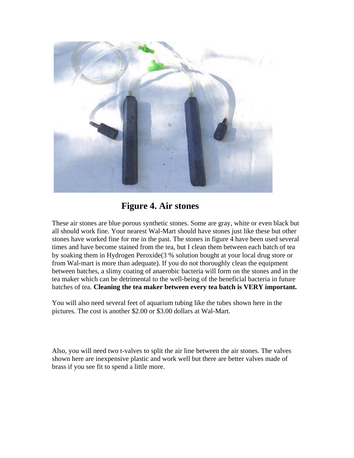

# **Figure 4. Air stones**

These air stones are blue porous synthetic stones. Some are gray, white or even black but all should work fine. Your nearest Wal-Mart should have stones just like these but other stones have worked fine for me in the past. The stones in figure 4 have been used several times and have become stained from the tea, but I clean them between each batch of tea by soaking them in Hydrogen Peroxide(3 % solution bought at your local drug store or from Wal-mart is more than adequate). If you do not thoroughly clean the equipment between batches, a slimy coating of anaerobic bacteria will form on the stones and in the tea maker which can be detrimental to the well-being of the beneficial bacteria in future batches of tea. **Cleaning the tea maker between every tea batch is VERY important.** 

You will also need several feet of aquarium tubing like the tubes shown here in the pictures. The cost is another \$2.00 or \$3.00 dollars at Wal-Mart.

Also, you will need two t-valves to split the air line between the air stones. The valves shown here are inexpensive plastic and work well but there are better valves made of brass if you see fit to spend a little more.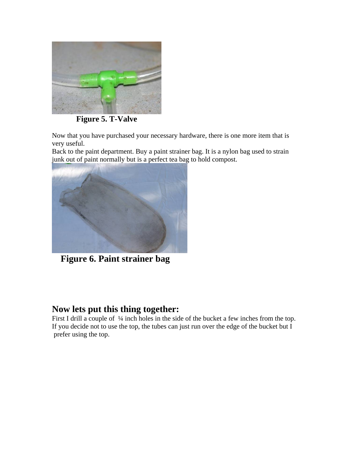

 **Figure 5. T-Valve** 

Now that you have purchased your necessary hardware, there is one more item that is very useful.

Back to the paint department. Buy a paint strainer bag. It is a nylon bag used to strain junk out of paint normally but is a perfect tea bag to hold compost.



**Figure 6. Paint strainer bag** 

### **Now lets put this thing together:**

First I drill a couple of  $\frac{1}{4}$  inch holes in the side of the bucket a few inches from the top. If you decide not to use the top, the tubes can just run over the edge of the bucket but  $\overline{I}$ prefer using the top.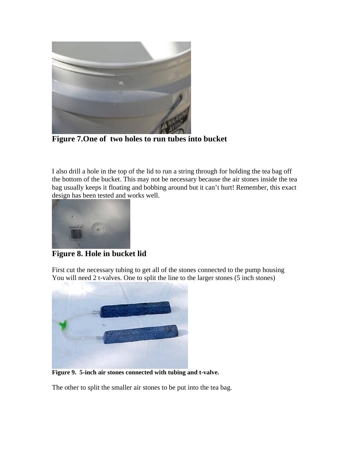

 $\begin{array}{c} \hline \end{array}$ **Figure 7.One of two holes to run tubes into bucket** 

I also drill a hole in the top of the lid to run a string through for holding the tea bag off the bottom of the bucket. This may not be necessary because the air stones inside the tea bag usually keeps it floating and bobbing around but it can't hurt! Remember, this exact design has been tested and works well.



**Figure 8. Hole in bucket lid** 

First cut the necessary tubing to get all of the stones connected to the pump housing You will need 2 t-valves. One to split the line to the larger stones (5 inch stones)



**Figure 9. 5-inch air stones connected with tubing and t-valve.** 

The other to split the smaller air stones to be put into the tea bag.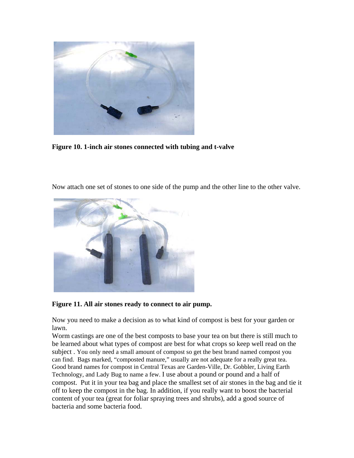

**Figure 10. 1-inch air stones connected with tubing and t-valve**





**Figure 11. All air stones ready to connect to air pump.** 

Now you need to make a decision as to what kind of compost is best for your garden or lawn.

Worm castings are one of the best composts to base your tea on but there is still much to be learned about what types of compost are best for what crops so keep well read on the subject . You only need a small amount of compost so get the best brand named compost you can find. Bags marked, "composted manure," usually are not adequate for a really great tea. Good brand names for compost in Central Texas are Garden-Ville, Dr. Gobbler, Living Earth Technology, and Lady Bug to name a few. I use about a pound or pound and a half of compost. Put it in your tea bag and place the smallest set of air stones in the bag and tie it off to keep the compost in the bag. In addition, if you really want to boost the bacterial content of your tea (great for foliar spraying trees and shrubs), add a good source of bacteria and some bacteria food.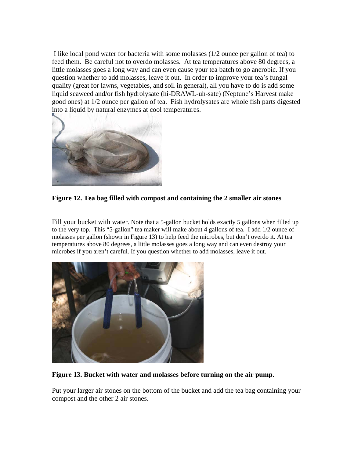I like local pond water for bacteria with some molasses (1/2 ounce per gallon of tea) to feed them. Be careful not to overdo molasses. At tea temperatures above 80 degrees, a little molasses goes a long way and can even cause your tea batch to go anerobic. If you question whether to add molasses, leave it out. In order to improve your tea's fungal quality (great for lawns, vegetables, and soil in general), all you have to do is add some liquid seaweed and/or fish hydrolysate (hi-DRAWL-uh-sate) (Neptune's Harvest make good ones) at 1/2 ounce per gallon of tea. Fish hydrolysates are whole fish parts digested into a liquid by natural enzymes at cool temperatures.



**Figure 12. Tea bag filled with compost and containing the 2 smaller air stones** 

Fill your bucket with water. Note that a 5-gallon bucket holds exactly 5 gallons when filled up to the very top. This "5-gallon" tea maker will make about 4 gallons of tea. I add 1/2 ounce of molasses per gallon (shown in Figure 13) to help feed the microbes, but don't overdo it. At tea temperatures above 80 degrees, a little molasses goes a long way and can even destroy your microbes if you aren't careful. If you question whether to add molasses, leave it out.



**Figure 13. Bucket with water and molasses before turning on the air pump**.

Put your larger air stones on the bottom of the bucket and add the tea bag containing your compost and the other 2 air stones.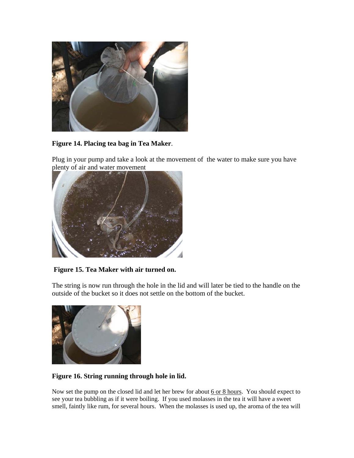

**Figure 14. Placing tea bag in Tea Maker**.

Plug in your pump and take a look at the movement of the water to make sure you have plenty of air and water movement



 **Figure 15. Tea Maker with air turned on.** 

The string is now run through the hole in the lid and will later be tied to the handle on the outside of the bucket so it does not settle on the bottom of the bucket.



#### **Figure 16. String running through hole in lid.**

Now set the pump on the closed lid and let her brew for about 6 or 8 hours. You should expect to see your tea bubbling as if it were boiling. If you used molasses in the tea it will have a sweet smell, faintly like rum, for several hours. When the molasses is used up, the aroma of the tea will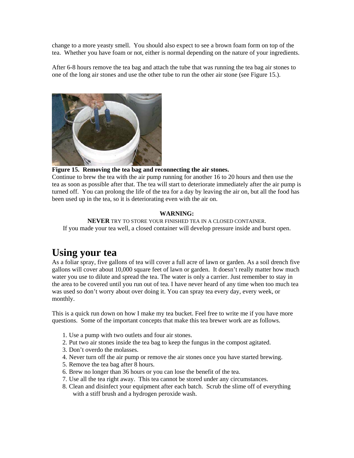change to a more yeasty smell. You should also expect to see a brown foam form on top of the tea. Whether you have foam or not, either is normal depending on the nature of your ingredients.

After 6-8 hours remove the tea bag and attach the tube that was running the tea bag air stones to one of the long air stones and use the other tube to run the other air stone (see Figure 15.).



**Figure 15. Removing the tea bag and reconnecting the air stones.**

Continue to brew the tea with the air pump running for another 16 to 20 hours and then use the tea as soon as possible after that. The tea will start to deteriorate immediately after the air pump is turned off. You can prolong the life of the tea for a day by leaving the air on, but all the food has been used up in the tea, so it is deteriorating even with the air on.

#### **WARNING:**

**NEVER** TRY TO STORE YOUR FINISHED TEA IN A CLOSED CONTAINER. If you made your tea well, a closed container will develop pressure inside and burst open.

# **Using your tea**

As a foliar spray, five gallons of tea will cover a full acre of lawn or garden. As a soil drench five gallons will cover about 10,000 square feet of lawn or garden. It doesn't really matter how much water you use to dilute and spread the tea. The water is only a carrier. Just remember to stay in the area to be covered until you run out of tea. I have never heard of any time when too much tea was used so don't worry about over doing it. You can spray tea every day, every week, or monthly.

This is a quick run down on how I make my tea bucket. Feel free to write me if you have more questions. Some of the important concepts that make this tea brewer work are as follows.

- 1. Use a pump with two outlets and four air stones.
- 2. Put two air stones inside the tea bag to keep the fungus in the compost agitated.
- 3. Don't overdo the molasses.
- 4. Never turn off the air pump or remove the air stones once you have started brewing.
- 5. Remove the tea bag after 8 hours.
- 6. Brew no longer than 36 hours or you can lose the benefit of the tea.
- 7. Use all the tea right away. This tea cannot be stored under any circumstances.
- 8. Clean and disinfect your equipment after each batch. Scrub the slime off of everything with a stiff brush and a hydrogen peroxide wash.